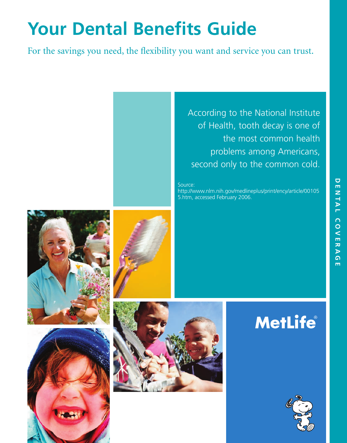# **Your Dental Benefits Guide**

For the savings you need, the flexibility you want and service you can trust.

According to the National Institute of Health, tooth decay is one of the most common health problems among Americans, second only to the common cold. Source: http://www.nlm.nih.gov/medlineplus/print/ency/article/00105 5.htm, accessed February 2006. **MetLife** 





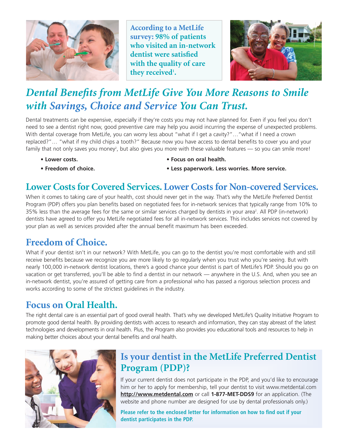

**According to a MetLife survey: 98% of patients who visited an in-network dentist were satisfied with the quality of care** they received<sup>1</sup>.



# *Dental Benefits from MetLife Give You More Reasons to Smile with Savings, Choice and Service You Can Trust.*

Dental treatments can be expensive, especially if they're costs you may not have planned for. Even if you feel you don't need to see a dentist right now, good preventive care may help you avoid incurring the expense of unexpected problems. With dental coverage from MetLife, you can worry less about "what if I get a cavity?"…"what if I need a crown replaced?"… "what if my child chips a tooth?" Because now you have access to dental benefits to cover you and your family that not only saves you money<sup>2</sup>, but also gives you more with these valuable features — so you can smile more!

- 
- **Lower costs. Focus on oral health.**
- 
- **Freedom of choice. Less paperwork. Less worries. More service.**

#### **Lower Costs for Covered Services. Lower Costs for Non-covered Services.**

When it comes to taking care of your health, cost should never get in the way. That's why the MetLife Preferred Dentist Program (PDP) offers you plan benefits based on negotiated fees for in-network services that typically range from 10% to 35% less than the average fees for the same or similar services charged by dentists in your area2 . All PDP (in-network) dentists have agreed to offer you MetLife negotiated fees for all in-network services. This includes services not covered by your plan as well as services provided after the annual benefit maximum has been exceeded.

#### **Freedom of Choice.**

What if your dentist isn't in our network? With MetLife, you can go to the dentist you're most comfortable with and still receive benefits because we recognize you are more likely to go regularly when you trust who you're seeing. But with nearly 100,000 in-network dentist locations, there's a good chance your dentist is part of MetLife's PDP. Should you go on vacation or get transferred, you'll be able to find a dentist in our network — anywhere in the U.S. And, when you see an in-network dentist, you're assured of getting care from a professional who has passed a rigorous selection process and works according to some of the strictest guidelines in the industry.

## **Focus on Oral Health.**

The right dental care is an essential part of good overall health. That's why we developed MetLife's Quality Initiative Program to promote good dental health. By providing dentists with access to research and information, they can stay abreast of the latest technologies and developments in oral health. Plus, the Program also provides you educational tools and resources to help in making better choices about your dental benefits and oral health.



#### **Is your dentist in the MetLife Preferred Dentist Program (PDP)?**

If your current dentist does not participate in the PDP, and you'd like to encourage him or her to apply for membership, tell your dentist to visit www.metdental.com **http://www.metdental.com** or call **1-877-MET-DDS9** for an application. (The website and phone number are designed for use by dental professionals only.)

**Please refer to the enclosed letter for information on how to find out if your dentist participates in the PDP.**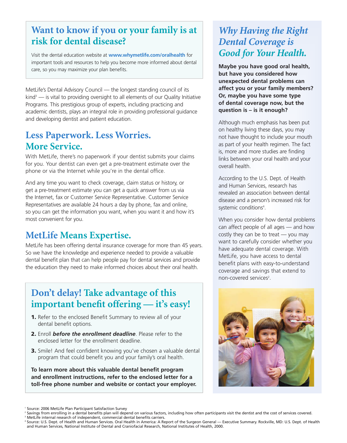#### **Want to know if you or your family is at risk for dental disease?**

Visit the dental education website at **www.whymetlife.com/oralhealth** for important tools and resources to help you become more informed about dental care, so you may maximize your plan benefits.

MetLife's Dental Advisory Council — the longest standing council of its  $\frac{1}{2}$  kind<sup>3</sup> — is vital to providing oversight to all elements of our Quality Initiative Programs. This prestigious group of experts, including practicing and academic dentists, plays an integral role in providing professional guidance and developing dentist and patient education.

#### **Less Paperwork. Less Worries. More Service.**

With MetLife, there's no paperwork if your dentist submits your claims for you. Your dentist can even get a pre-treatment estimate over the phone or via the Internet while you're in the dental office.

And any time you want to check coverage, claim status or history, or get a pre-treatment estimate you can get a quick answer from us via the Internet, fax or Customer Service Representative. Customer Service Representatives are available 24 hours a day by phone, fax and online, so you can get the information you want, when you want it and how it's most convenient for you.

#### **MetLife Means Expertise.**

MetLife has been offering dental insurance coverage for more than 45 years. So we have the knowledge and experience needed to provide a valuable dental benefit plan that can help people pay for dental services and provide the education they need to make informed choices about their oral health.

### **Don't delay! Take advantage of this important benefit offering — it's easy!**

- **1.** Refer to the enclosed Benefit Summary to review all of your dental benefit options.
- **2.** Enroll *before the enrollment deadline*. Please refer to the enclosed letter for the enrollment deadline.
- **3.** Smile! And feel confident knowing you've chosen a valuable dental program that could benefit you and your family's oral health.

**To learn more about this valuable dental benefit program and enrollment instructions, refer to the enclosed letter for a toll-free phone number and website or contact your employer.**

#### *Why Having the Right Dental Coverage is Good for Your Health.*

**Maybe you have good oral health, but have you considered how unexpected dental problems can affect you or your family members? Or, maybe you have some type of dental coverage now, but the question is – is it enough?**

Although much emphasis has been put on healthy living these days, you may not have thought to include your mouth as part of your health regimen. The fact is, more and more studies are finding links between your oral health and your overall health.

According to the U.S. Dept. of Health and Human Services, research has revealed an association between dental disease and a person's increased risk for systemic conditions<sup>4</sup>.

When you consider how dental problems can affect people of all ages — and how costly they can be to treat — you may want to carefully consider whether you have adequate dental coverage. With MetLife, you have access to dental benefit plans with easy-to-understand coverage and savings that extend to non-covered services<sup>2</sup>.



<sup>1</sup> Source: 2006 MetLife Plan Participant Satisfaction Survey

<sup>&</sup>lt;sup>2</sup> Savings from enrolling in a dental benefits plan will depend on various factors, including how often participants visit the dentist and the cost of services covered. <sup>3</sup> MetLife internal research of independent, commercial dental benefits carriers.

<sup>4</sup> Source: U.S. Dept. of Health and Human Services. Oral Health in America: A Report of the Surgeon General — Executive Summary. Rockville, MD: U.S. Dept. of Health and Human Services, National Institute of Dental and Craniofacial Research, National Institutes of Health, 2000.